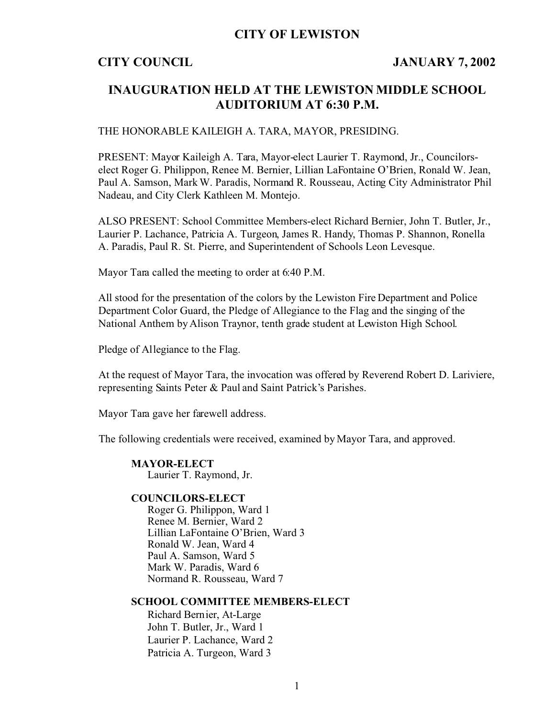## **CITY OF LEWISTON**

## **CITY COUNCIL JANUARY 7, 2002**

# **INAUGURATION HELD AT THE LEWISTON MIDDLE SCHOOL AUDITORIUM AT 6:30 P.M.**

### THE HONORABLE KAILEIGH A. TARA, MAYOR, PRESIDING.

PRESENT: Mayor Kaileigh A. Tara, Mayor-elect Laurier T. Raymond, Jr., Councilorselect Roger G. Philippon, Renee M. Bernier, Lillian LaFontaine O'Brien, Ronald W. Jean, Paul A. Samson, Mark W. Paradis, Normand R. Rousseau, Acting City Administrator Phil Nadeau, and City Clerk Kathleen M. Montejo.

ALSO PRESENT: School Committee Members-elect Richard Bernier, John T. Butler, Jr., Laurier P. Lachance, Patricia A. Turgeon, James R. Handy, Thomas P. Shannon, Ronella A. Paradis, Paul R. St. Pierre, and Superintendent of Schools Leon Levesque.

Mayor Tara called the meeting to order at 6:40 P.M.

All stood for the presentation of the colors by the Lewiston Fire Department and Police Department Color Guard, the Pledge of Allegiance to the Flag and the singing of the National Anthem by Alison Traynor, tenth grade student at Lewiston High School.

Pledge of Allegiance to the Flag.

At the request of Mayor Tara, the invocation was offered by Reverend Robert D. Lariviere, representing Saints Peter & Paul and Saint Patrick's Parishes.

Mayor Tara gave her farewell address.

The following credentials were received, examined by Mayor Tara, and approved.

**MAYOR-ELECT** Laurier T. Raymond, Jr.

### **COUNCILORS-ELECT**

Roger G. Philippon, Ward 1 Renee M. Bernier, Ward 2 Lillian LaFontaine O'Brien, Ward 3 Ronald W. Jean, Ward 4 Paul A. Samson, Ward 5 Mark W. Paradis, Ward 6 Normand R. Rousseau, Ward 7

### **SCHOOL COMMITTEE MEMBERS-ELECT**

Richard Bernier, At-Large John T. Butler, Jr., Ward 1 Laurier P. Lachance, Ward 2 Patricia A. Turgeon, Ward 3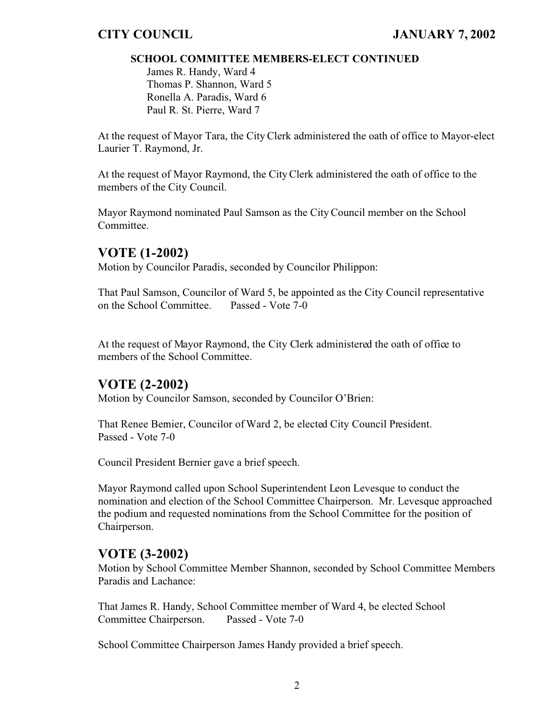## **SCHOOL COMMITTEE MEMBERS-ELECT CONTINUED**

James R. Handy, Ward 4 Thomas P. Shannon, Ward 5 Ronella A. Paradis, Ward 6 Paul R. St. Pierre, Ward 7

At the request of Mayor Tara, the City Clerk administered the oath of office to Mayor-elect Laurier T. Raymond, Jr.

At the request of Mayor Raymond, the City Clerk administered the oath of office to the members of the City Council.

Mayor Raymond nominated Paul Samson as the City Council member on the School Committee.

# **VOTE (1-2002)**

Motion by Councilor Paradis, seconded by Councilor Philippon:

That Paul Samson, Councilor of Ward 5, be appointed as the City Council representative on the School Committee. Passed - Vote 7-0

At the request of Mayor Raymond, the City Clerk administered the oath of office to members of the School Committee.

# **VOTE (2-2002)**

Motion by Councilor Samson, seconded by Councilor O'Brien:

That Renee Bernier, Councilor of Ward 2, be elected City Council President. Passed - Vote 7-0

Council President Bernier gave a brief speech.

Mayor Raymond called upon School Superintendent Leon Levesque to conduct the nomination and election of the School Committee Chairperson. Mr. Levesque approached the podium and requested nominations from the School Committee for the position of Chairperson.

# **VOTE (3-2002)**

Motion by School Committee Member Shannon, seconded by School Committee Members Paradis and Lachance:

That James R. Handy, School Committee member of Ward 4, be elected School Committee Chairperson. Passed - Vote 7-0

School Committee Chairperson James Handy provided a brief speech.